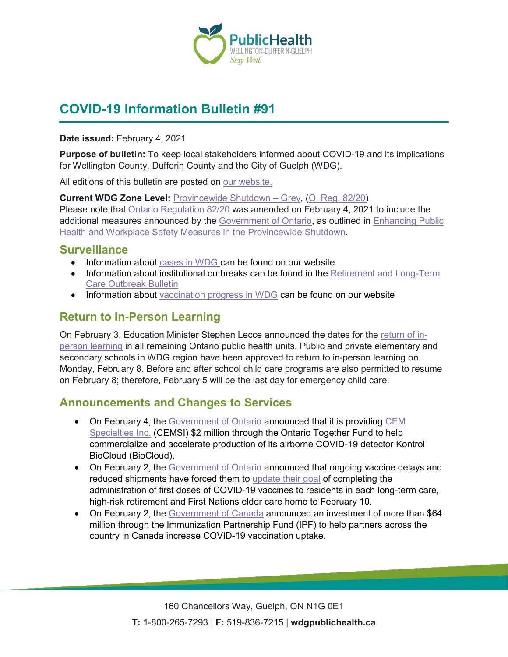

# **COVID-19 Information Bulletin #91**

**Date issued:** February 4, 2021

**Purpose of bulletin:** To keep local stakeholders informed about COVID-19 and its implications for Wellington County, Dufferin County and the City of Guelph (WDG).

All editions of this bulletin are posted on [our website.](https://www.wdgpublichealth.ca/your-health/covid-19-information-workplaces-and-living-spaces/community-stakeholder-bulletins)

**Current WDG Zone Level:** [Provincewide Shutdown –](https://www.ontario.ca/page/covid-19-provincewide-shutdown) Grey, (O. Reg. [82/20\)](https://www.ontario.ca/laws/regulation/200082) Please note that [Ontario Regulation 82/20](https://www.ontario.ca/laws/regulation/200082) was amended on February 4, 2021 to include the additional measures announced by the [Government](https://news.ontario.ca/en/release/59922/ontario-declares-second-provincial-emergency-to-address-covid-19-crisis-and-save-lives) of Ontario, as outlined in [Enhancing Public](https://files.ontario.ca/moh-enhanced-provincewide-shutdown-en-2021-01-12-v3.pdf)  [Health and Workplace Safety Measures in the Provincewide](https://files.ontario.ca/moh-enhanced-provincewide-shutdown-en-2021-01-12-v3.pdf) Shutdown.

### **Surveillance**

- Information about [cases in WDG](https://wdgpublichealth.ca/your-health/covid-19-information-public/status-cases-wdg) can be found on our website
- Information about institutional outbreaks can be found in the **Retirement and Long-Term** [Care Outbreak Bulletin](https://wdgpublichealth.ca/node/1542)
- Information about [vaccination progress](https://www.wdgpublichealth.ca/your-health/covid-19-information-public/covid-19-vaccine-information-public) in WDG can be found on our website

### **Return to In-Person Learning**

On February 3, Education Minister Stephen Lecce announced the dates for the [return of in](https://news.ontario.ca/en/release/60228/enhanced-safety-measures-in-place-as-in-person-learning-resumes-across-ontario)[person learning](https://news.ontario.ca/en/release/60228/enhanced-safety-measures-in-place-as-in-person-learning-resumes-across-ontario) in all remaining Ontario public health units. Public and private elementary and secondary schools in WDG region have been approved to return to in-person learning on Monday, February 8. Before and after school child care programs are also permitted to resume on February 8; therefore, February 5 will be the last day for emergency child care.

### **Announcements and Changes to Services**

- On February 4, the [Government of Ontario](https://news.ontario.ca/en/release/60230/ontario-supports-air-monitoring-technology-to-better-protect-people-from-covid-19) announced that it is providing CEM [Specialties Inc.](https://www.cemsi.ca/) (CEMSI) \$2 million through the Ontario Together Fund to help commercialize and accelerate production of its airborne COVID-19 detector Kontrol BioCloud (BioCloud).
- On February 2, the [Government of Ontario](https://news.ontario.ca/en/release/60208/ontario-continues-accelerated-vaccinations-of-most-vulnerable-despite-vaccine-delays) announced that ongoing vaccine delays and reduced shipments have forced them to [update their](https://www.ontario.ca/page/covid-19-vaccination-update-february-2-2021) goal of completing the administration of first doses of COVID-19 vaccines to residents in each long-term care, high-risk retirement and First Nations elder care home to February 10.
- On February 2, the [Government of Canada](https://www.canada.ca/en/public-health/news/2021/02/government-of-canada-supports-projects-to-encourage-vaccine-uptake-in-canada.html) announced an investment of more than \$64 million through the Immunization Partnership Fund (IPF) to help partners across the country in Canada increase COVID-19 vaccination uptake.